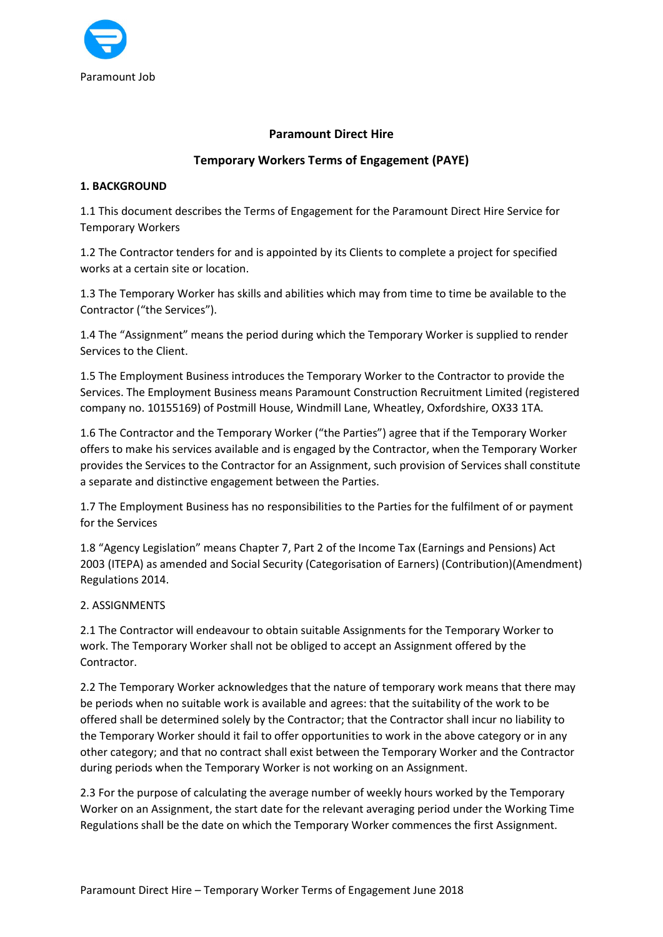

### Paramount Direct Hire

# Temporary Workers Terms of Engagement (PAYE)

### 1. BACKGROUND

1.1 This document describes the Terms of Engagement for the Paramount Direct Hire Service for Temporary Workers

1.2 The Contractor tenders for and is appointed by its Clients to complete a project for specified works at a certain site or location.

1.3 The Temporary Worker has skills and abilities which may from time to time be available to the Contractor ("the Services").

1.4 The "Assignment" means the period during which the Temporary Worker is supplied to render Services to the Client.

1.5 The Employment Business introduces the Temporary Worker to the Contractor to provide the Services. The Employment Business means Paramount Construction Recruitment Limited (registered company no. 10155169) of Postmill House, Windmill Lane, Wheatley, Oxfordshire, OX33 1TA.

1.6 The Contractor and the Temporary Worker ("the Parties") agree that if the Temporary Worker offers to make his services available and is engaged by the Contractor, when the Temporary Worker provides the Services to the Contractor for an Assignment, such provision of Services shall constitute a separate and distinctive engagement between the Parties.

1.7 The Employment Business has no responsibilities to the Parties for the fulfilment of or payment for the Services

1.8 "Agency Legislation" means Chapter 7, Part 2 of the Income Tax (Earnings and Pensions) Act 2003 (ITEPA) as amended and Social Security (Categorisation of Earners) (Contribution)(Amendment) Regulations 2014.

### 2. ASSIGNMENTS

2.1 The Contractor will endeavour to obtain suitable Assignments for the Temporary Worker to work. The Temporary Worker shall not be obliged to accept an Assignment offered by the Contractor.

2.2 The Temporary Worker acknowledges that the nature of temporary work means that there may be periods when no suitable work is available and agrees: that the suitability of the work to be offered shall be determined solely by the Contractor; that the Contractor shall incur no liability to the Temporary Worker should it fail to offer opportunities to work in the above category or in any other category; and that no contract shall exist between the Temporary Worker and the Contractor during periods when the Temporary Worker is not working on an Assignment.

2.3 For the purpose of calculating the average number of weekly hours worked by the Temporary Worker on an Assignment, the start date for the relevant averaging period under the Working Time Regulations shall be the date on which the Temporary Worker commences the first Assignment.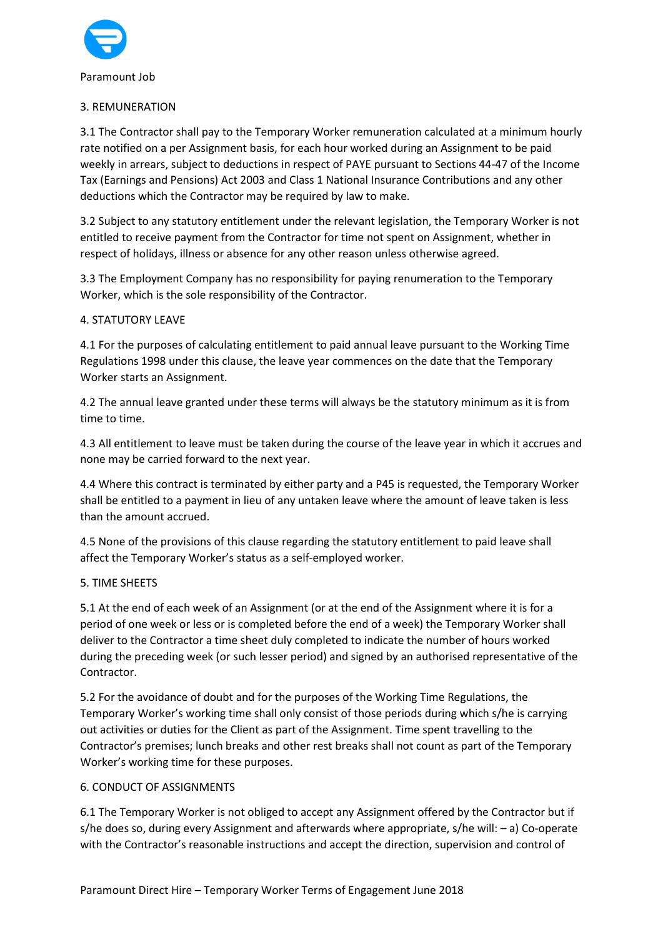

# 3. REMUNERATION

3.1 The Contractor shall pay to the Temporary Worker remuneration calculated at a minimum hourly rate notified on a per Assignment basis, for each hour worked during an Assignment to be paid weekly in arrears, subject to deductions in respect of PAYE pursuant to Sections 44-47 of the Income Tax (Earnings and Pensions) Act 2003 and Class 1 National Insurance Contributions and any other deductions which the Contractor may be required by law to make.

3.2 Subject to any statutory entitlement under the relevant legislation, the Temporary Worker is not entitled to receive payment from the Contractor for time not spent on Assignment, whether in respect of holidays, illness or absence for any other reason unless otherwise agreed.

3.3 The Employment Company has no responsibility for paying renumeration to the Temporary Worker, which is the sole responsibility of the Contractor.

### 4. STATUTORY LEAVE

4.1 For the purposes of calculating entitlement to paid annual leave pursuant to the Working Time Regulations 1998 under this clause, the leave year commences on the date that the Temporary Worker starts an Assignment.

4.2 The annual leave granted under these terms will always be the statutory minimum as it is from time to time.

4.3 All entitlement to leave must be taken during the course of the leave year in which it accrues and none may be carried forward to the next year.

4.4 Where this contract is terminated by either party and a P45 is requested, the Temporary Worker shall be entitled to a payment in lieu of any untaken leave where the amount of leave taken is less than the amount accrued.

4.5 None of the provisions of this clause regarding the statutory entitlement to paid leave shall affect the Temporary Worker's status as a self-employed worker.

# 5. TIME SHEETS

5.1 At the end of each week of an Assignment (or at the end of the Assignment where it is for a period of one week or less or is completed before the end of a week) the Temporary Worker shall deliver to the Contractor a time sheet duly completed to indicate the number of hours worked during the preceding week (or such lesser period) and signed by an authorised representative of the Contractor.

5.2 For the avoidance of doubt and for the purposes of the Working Time Regulations, the Temporary Worker's working time shall only consist of those periods during which s/he is carrying out activities or duties for the Client as part of the Assignment. Time spent travelling to the Contractor's premises; lunch breaks and other rest breaks shall not count as part of the Temporary Worker's working time for these purposes.

# 6. CONDUCT OF ASSIGNMENTS

6.1 The Temporary Worker is not obliged to accept any Assignment offered by the Contractor but if s/he does so, during every Assignment and afterwards where appropriate, s/he will: – a) Co-operate with the Contractor's reasonable instructions and accept the direction, supervision and control of